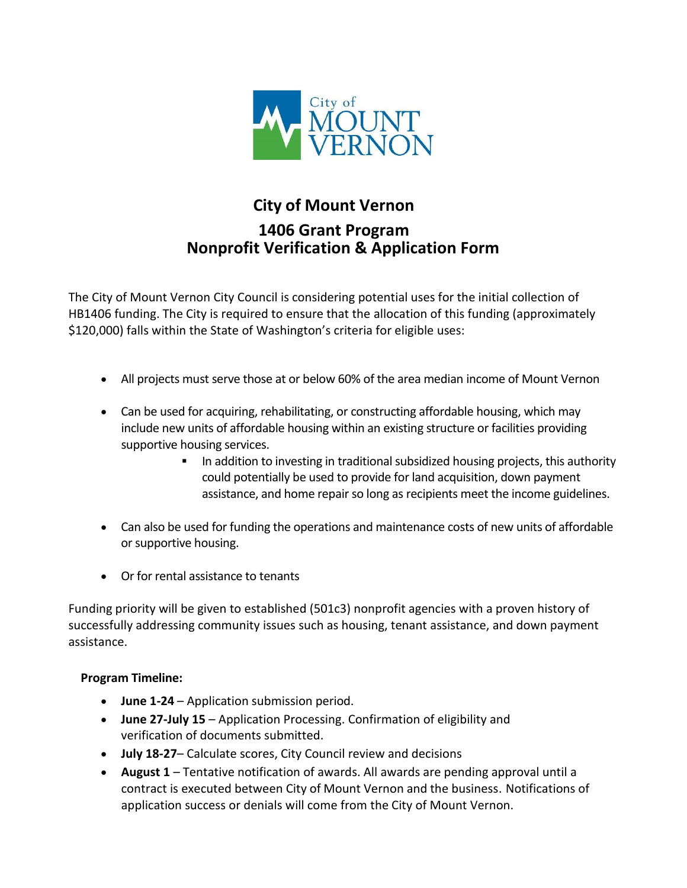

## **City of Mount Vernon 1406 Grant Program Nonprofit Verification & Application Form**

The City of Mount Vernon City Council is considering potential uses for the initial collection of HB1406 funding. The City is required to ensure that the allocation of this funding (approximately \$120,000) falls within the State of Washington's criteria for eligible uses:

- All projects must serve those at or below 60% of the area median income of Mount Vernon
- Can be used for acquiring, rehabilitating, or constructing affordable housing, which may include new units of affordable housing within an existing structure or facilities providing supportive housing services.
	- In addition to investing in traditional subsidized housing projects, this authority could potentially be used to provide for land acquisition, down payment assistance, and home repair so long as recipients meet the income guidelines.
- Can also be used for funding the operations and maintenance costs of new units of affordable or supportive housing.
- Or for rental assistance to tenants

Funding priority will be given to established (501c3) nonprofit agencies with a proven history of successfully addressing community issues such as housing, tenant assistance, and down payment assistance.

## **Program Timeline:**

- **June 1-24** Application submission period.
- **June 27-July 15** Application Processing. Confirmation of eligibility and verification of documents submitted.
- **July 18-27** Calculate scores, City Council review and decisions
- **August 1** Tentative notification of awards. All awards are pending approval until a contract is executed between City of Mount Vernon and the business. Notifications of application success or denials will come from the City of Mount Vernon.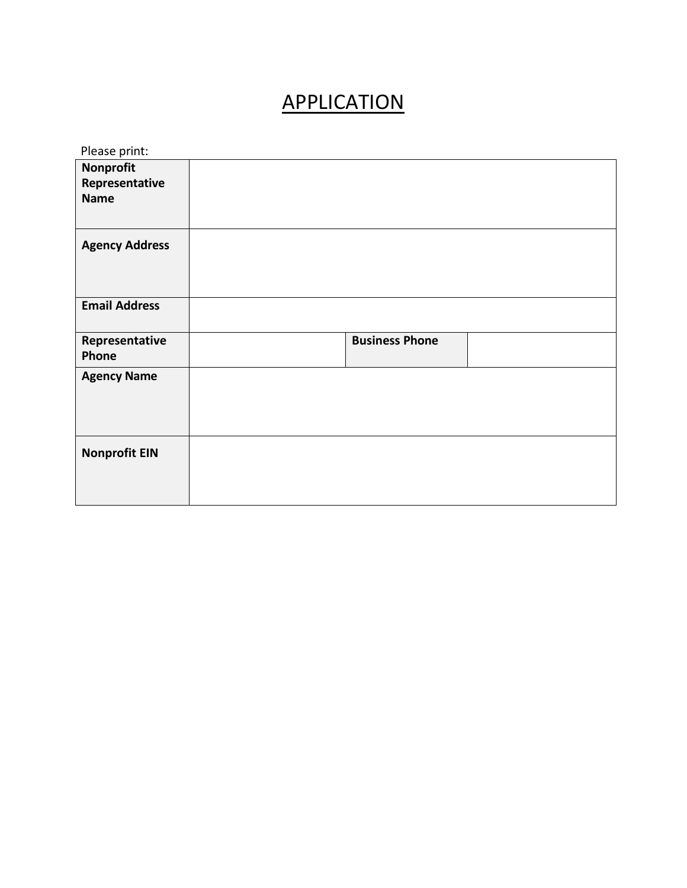## APPLICATION

| Please print:                                     |                       |  |  |  |
|---------------------------------------------------|-----------------------|--|--|--|
| <b>Nonprofit</b><br>Representative<br><b>Name</b> |                       |  |  |  |
| <b>Agency Address</b>                             |                       |  |  |  |
| <b>Email Address</b>                              |                       |  |  |  |
| Representative<br>Phone                           | <b>Business Phone</b> |  |  |  |
|                                                   |                       |  |  |  |
| <b>Agency Name</b>                                |                       |  |  |  |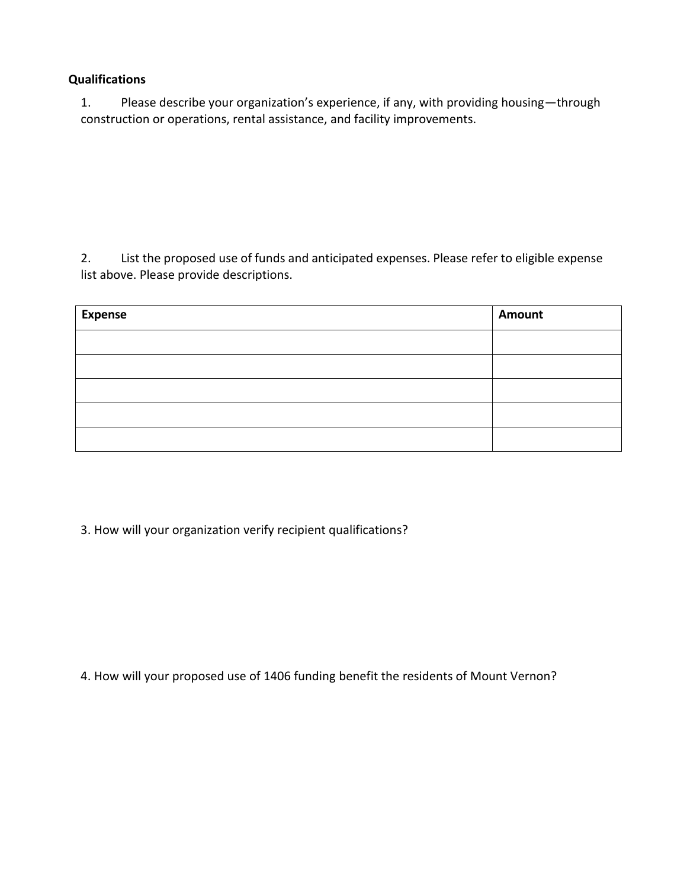## **Qualifications**

1. Please describe your organization's experience, if any, with providing housing—through construction or operations, rental assistance, and facility improvements.

2. List the proposed use of funds and anticipated expenses. Please refer to eligible expense list above. Please provide descriptions.

| <b>Expense</b> | Amount |
|----------------|--------|
|                |        |
|                |        |
|                |        |
|                |        |
|                |        |

3. How will your organization verify recipient qualifications?

4. How will your proposed use of 1406 funding benefit the residents of Mount Vernon?